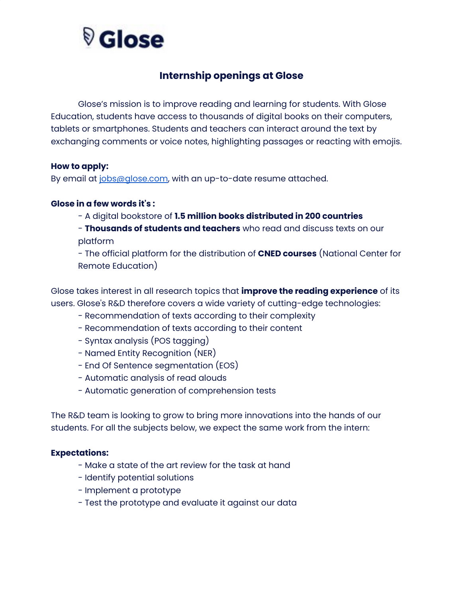# <sup>V</sup> Glose

## **Internship openings at Glose**

Glose's mission is to improve reading and learning for students. With Glose Education, students have access to thousands of digital books on their computers, tablets or smartphones. Students and teachers can interact around the text by exchanging comments or voice notes, highlighting passages or reacting with emojis.

#### **How to apply:**

By email at [jobs@glose.com,](mailto:jobs@glose.com) with an up-to-date resume attached.

#### **Glose in a few words it's :**

- A digital bookstore of **1.5 million books distributed in 200 countries**

- **Thousands of students and teachers** who read and discuss texts on our platform

- The official platform for the distribution of **CNED courses** (National Center for Remote Education)

Glose takes interest in all research topics that **improve the reading experience** of its users. Glose's R&D therefore covers a wide variety of cutting-edge technologies:

- Recommendation of texts according to their complexity
- Recommendation of texts according to their content
- Syntax analysis (POS tagging)
- Named Entity Recognition (NER)
- End Of Sentence segmentation (EOS)
- Automatic analysis of read alouds
- Automatic generation of comprehension tests

The R&D team is looking to grow to bring more innovations into the hands of our students. For all the subjects below, we expect the same work from the intern:

#### **Expectations:**

- Make a state of the art review for the task at hand
- Identify potential solutions
- Implement a prototype
- Test the prototype and evaluate it against our data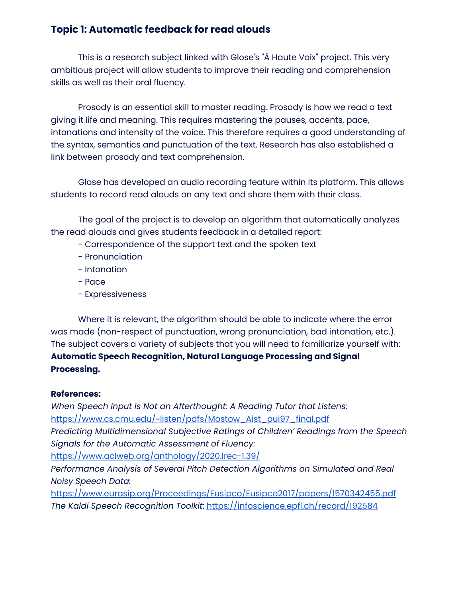## **Topic 1: Automatic feedback for read alouds**

This is a research subject linked with Glose's "À Haute Voix" project. This very ambitious project will allow students to improve their reading and comprehension skills as well as their oral fluency.

Prosody is an essential skill to master reading. Prosody is how we read a text giving it life and meaning. This requires mastering the pauses, accents, pace, intonations and intensity of the voice. This therefore requires a good understanding of the syntax, semantics and punctuation of the text. Research has also established a link between prosody and text comprehension.

Glose has developed an audio recording feature within its platform. This allows students to record read alouds on any text and share them with their class.

The goal of the project is to develop an algorithm that automatically analyzes the read alouds and gives students feedback in a detailed report:

- Correspondence of the support text and the spoken text
- Pronunciation
- Intonation
- Pace
- Expressiveness

Where it is relevant, the algorithm should be able to indicate where the error was made (non-respect of punctuation, wrong pronunciation, bad intonation, etc.). The subject covers a variety of subjects that you will need to familiarize yourself with: **Automatic Speech Recognition, Natural Language Processing and Signal Processing.**

#### **References:**

*When Speech Input is Not an Afterthought: A Reading Tutor that Listens:* [https://www.cs.cmu.edu/~listen/pdfs/Mostow\\_Aist\\_pui97\\_final.pdf](https://www.cs.cmu.edu/~listen/pdfs/Mostow_Aist_pui97_final.pdf) *Predicting Multidimensional Subjective Ratings of Children' Readings from the Speech Signals for the Automatic Assessment of Fluency*: <https://www.aclweb.org/anthology/2020.lrec-1.39/> *Performance Analysis of Several Pitch Detection Algorithms on Simulated and Real Noisy Speech Data:* <https://www.eurasip.org/Proceedings/Eusipco/Eusipco2017/papers/1570342455.pdf> *The Kaldi Speech Recognition Toolkit*: <https://infoscience.epfl.ch/record/192584>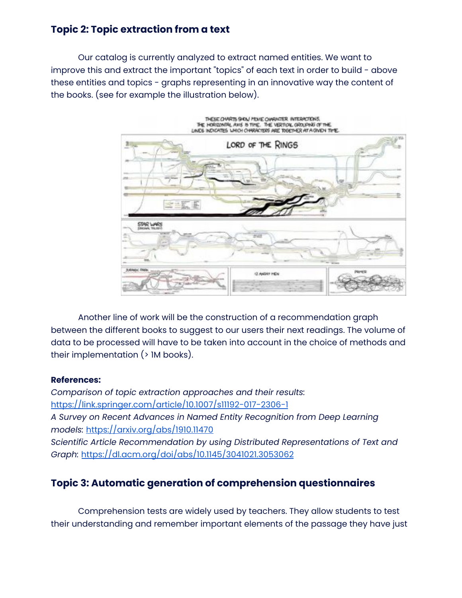## **Topic 2: Topic extraction from a text**

Our catalog is currently analyzed to extract named entities. We want to improve this and extract the important "topics" of each text in order to build - above these entities and topics - graphs representing in an innovative way the content of the books. (see for example the illustration below).



Another line of work will be the construction of a recommendation graph between the different books to suggest to our users their next readings. The volume of data to be processed will have to be taken into account in the choice of methods and their implementation (> 1M books).

#### **References:**

*Comparison of topic extraction approaches and their results:* <https://link.springer.com/article/10.1007/s11192-017-2306-1> *A Survey on Recent Advances in Named Entity Recognition from Deep Learning models:* <https://arxiv.org/abs/1910.11470> *Scientific Article Recommendation by using Distributed Representations of Text and Graph:* <https://dl.acm.org/doi/abs/10.1145/3041021.3053062>

## **Topic 3: Automatic generation of comprehension questionnaires**

Comprehension tests are widely used by teachers. They allow students to test their understanding and remember important elements of the passage they have just